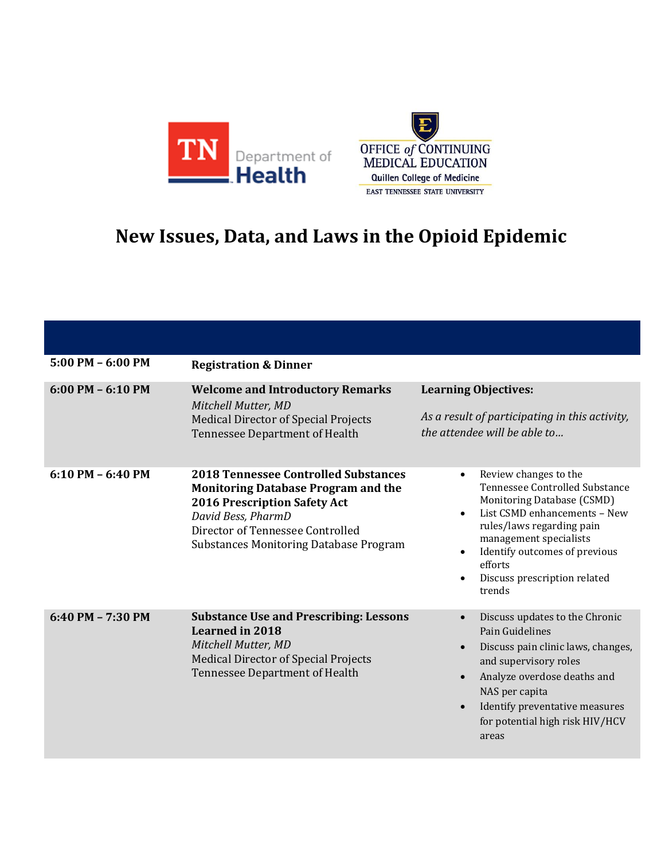



## **New Issues, Data, and Laws in the Opioid Epidemic**

| $5:00$ PM $-6:00$ PM | <b>Registration &amp; Dinner</b>                                                                                                                                                                                                            |                                                                                                                                                                                                                                                                                                                        |
|----------------------|---------------------------------------------------------------------------------------------------------------------------------------------------------------------------------------------------------------------------------------------|------------------------------------------------------------------------------------------------------------------------------------------------------------------------------------------------------------------------------------------------------------------------------------------------------------------------|
| $6:00$ PM $-6:10$ PM | <b>Welcome and Introductory Remarks</b><br>Mitchell Mutter, MD<br><b>Medical Director of Special Projects</b><br><b>Tennessee Department of Health</b>                                                                                      | <b>Learning Objectives:</b><br>As a result of participating in this activity,<br>the attendee will be able to                                                                                                                                                                                                          |
| $6:10$ PM $-6:40$ PM | <b>2018 Tennessee Controlled Substances</b><br><b>Monitoring Database Program and the</b><br><b>2016 Prescription Safety Act</b><br>David Bess, PharmD<br>Director of Tennessee Controlled<br><b>Substances Monitoring Database Program</b> | Review changes to the<br>$\bullet$<br>Tennessee Controlled Substance<br>Monitoring Database (CSMD)<br>List CSMD enhancements - New<br>$\bullet$<br>rules/laws regarding pain<br>management specialists<br>Identify outcomes of previous<br>$\bullet$<br>efforts<br>Discuss prescription related<br>$\bullet$<br>trends |
| 6:40 PM - 7:30 PM    | <b>Substance Use and Prescribing: Lessons</b><br><b>Learned in 2018</b><br>Mitchell Mutter, MD<br><b>Medical Director of Special Projects</b><br>Tennessee Department of Health                                                             | Discuss updates to the Chronic<br>$\bullet$<br>Pain Guidelines<br>Discuss pain clinic laws, changes,<br>$\bullet$<br>and supervisory roles<br>Analyze overdose deaths and<br>$\bullet$<br>NAS per capita<br>Identify preventative measures<br>for potential high risk HIV/HCV<br>areas                                 |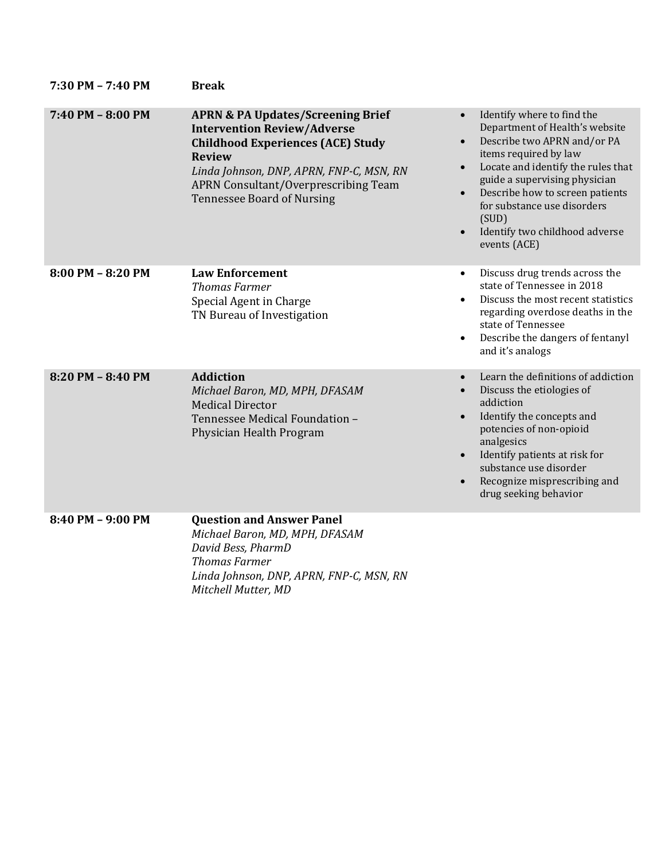| 7:30 PM - 7:40 PM     | <b>Break</b>                                                                                                                                                                                                                                                                    |                                                                                                                                                                                                                                                                                                                                                                              |
|-----------------------|---------------------------------------------------------------------------------------------------------------------------------------------------------------------------------------------------------------------------------------------------------------------------------|------------------------------------------------------------------------------------------------------------------------------------------------------------------------------------------------------------------------------------------------------------------------------------------------------------------------------------------------------------------------------|
| 7:40 PM - 8:00 PM     | <b>APRN &amp; PA Updates/Screening Brief</b><br><b>Intervention Review/Adverse</b><br><b>Childhood Experiences (ACE) Study</b><br><b>Review</b><br>Linda Johnson, DNP, APRN, FNP-C, MSN, RN<br><b>APRN Consultant/Overprescribing Team</b><br><b>Tennessee Board of Nursing</b> | Identify where to find the<br>$\bullet$<br>Department of Health's website<br>Describe two APRN and/or PA<br>items required by law<br>Locate and identify the rules that<br>$\bullet$<br>guide a supervising physician<br>Describe how to screen patients<br>$\bullet$<br>for substance use disorders<br>(SUD)<br>Identify two childhood adverse<br>$\bullet$<br>events (ACE) |
| $8:00$ PM $- 8:20$ PM | <b>Law Enforcement</b><br><b>Thomas Farmer</b><br>Special Agent in Charge<br>TN Bureau of Investigation                                                                                                                                                                         | Discuss drug trends across the<br>$\bullet$<br>state of Tennessee in 2018<br>Discuss the most recent statistics<br>regarding overdose deaths in the<br>state of Tennessee<br>Describe the dangers of fentanyl<br>$\bullet$<br>and it's analogs                                                                                                                               |
| 8:20 PM - 8:40 PM     | <b>Addiction</b><br>Michael Baron, MD, MPH, DFASAM<br><b>Medical Director</b><br>Tennessee Medical Foundation -<br>Physician Health Program                                                                                                                                     | Learn the definitions of addiction<br>Discuss the etiologies of<br>addiction<br>Identify the concepts and<br>$\bullet$<br>potencies of non-opioid<br>analgesics<br>Identify patients at risk for<br>$\bullet$<br>substance use disorder<br>Recognize misprescribing and<br>$\bullet$<br>drug seeking behavior                                                                |
| 8:40 PM - 9:00 PM     | <b>Question and Answer Panel</b><br>Michael Baron, MD, MPH, DFASAM<br>David Bess, PharmD<br><b>Thomas Farmer</b><br>Linda Johnson, DNP, APRN, FNP-C, MSN, RN<br>Mitchell Mutter, MD                                                                                             |                                                                                                                                                                                                                                                                                                                                                                              |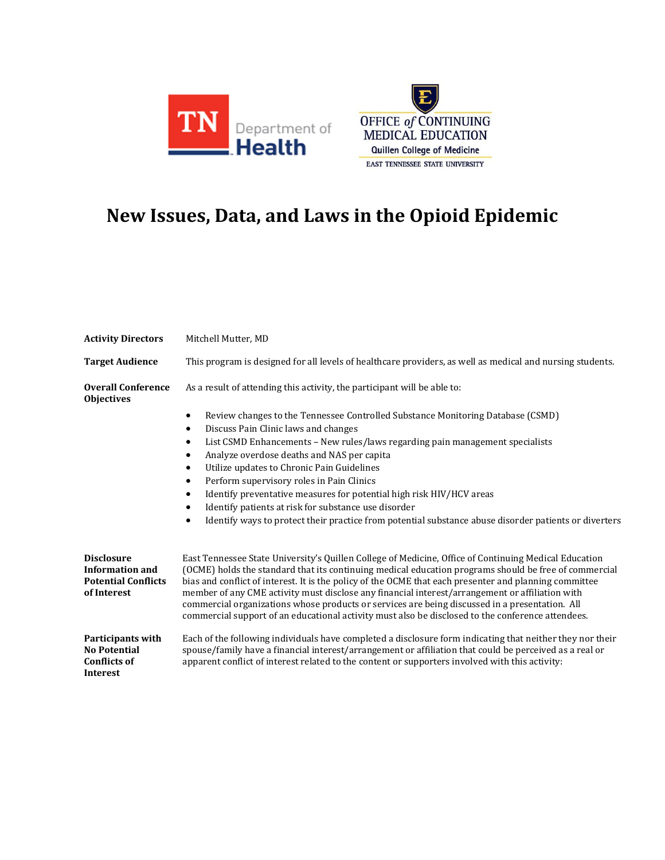



## **New Issues, Data, and Laws in the Opioid Epidemic**

| <b>Activity Directors</b>                                                                | Mitchell Mutter, MD                                                                                                                                                                                                                                                                                                                                                                                                                                                                                                                                                                                                                                                                                             |  |  |
|------------------------------------------------------------------------------------------|-----------------------------------------------------------------------------------------------------------------------------------------------------------------------------------------------------------------------------------------------------------------------------------------------------------------------------------------------------------------------------------------------------------------------------------------------------------------------------------------------------------------------------------------------------------------------------------------------------------------------------------------------------------------------------------------------------------------|--|--|
| <b>Target Audience</b>                                                                   | This program is designed for all levels of healthcare providers, as well as medical and nursing students.                                                                                                                                                                                                                                                                                                                                                                                                                                                                                                                                                                                                       |  |  |
| <b>Overall Conference</b><br><b>Objectives</b>                                           | As a result of attending this activity, the participant will be able to:                                                                                                                                                                                                                                                                                                                                                                                                                                                                                                                                                                                                                                        |  |  |
|                                                                                          | Review changes to the Tennessee Controlled Substance Monitoring Database (CSMD)<br>$\bullet$<br>Discuss Pain Clinic laws and changes<br>$\bullet$<br>List CSMD Enhancements - New rules/laws regarding pain management specialists<br>$\bullet$<br>Analyze overdose deaths and NAS per capita<br>$\bullet$<br>Utilize updates to Chronic Pain Guidelines<br>$\bullet$<br>Perform supervisory roles in Pain Clinics<br>$\bullet$<br>Identify preventative measures for potential high risk HIV/HCV areas<br>$\bullet$<br>Identify patients at risk for substance use disorder<br>$\bullet$<br>Identify ways to protect their practice from potential substance abuse disorder patients or diverters<br>$\bullet$ |  |  |
| <b>Disclosure</b><br><b>Information and</b><br><b>Potential Conflicts</b><br>of Interest | East Tennessee State University's Quillen College of Medicine, Office of Continuing Medical Education<br>(OCME) holds the standard that its continuing medical education programs should be free of commercial<br>bias and conflict of interest. It is the policy of the OCME that each presenter and planning committee<br>member of any CME activity must disclose any financial interest/arrangement or affiliation with<br>commercial organizations whose products or services are being discussed in a presentation. All<br>commercial support of an educational activity must also be disclosed to the conference attendees.                                                                              |  |  |
| Participants with<br><b>No Potential</b><br><b>Conflicts of</b><br><b>Interest</b>       | Each of the following individuals have completed a disclosure form indicating that neither they nor their<br>spouse/family have a financial interest/arrangement or affiliation that could be perceived as a real or<br>apparent conflict of interest related to the content or supporters involved with this activity:                                                                                                                                                                                                                                                                                                                                                                                         |  |  |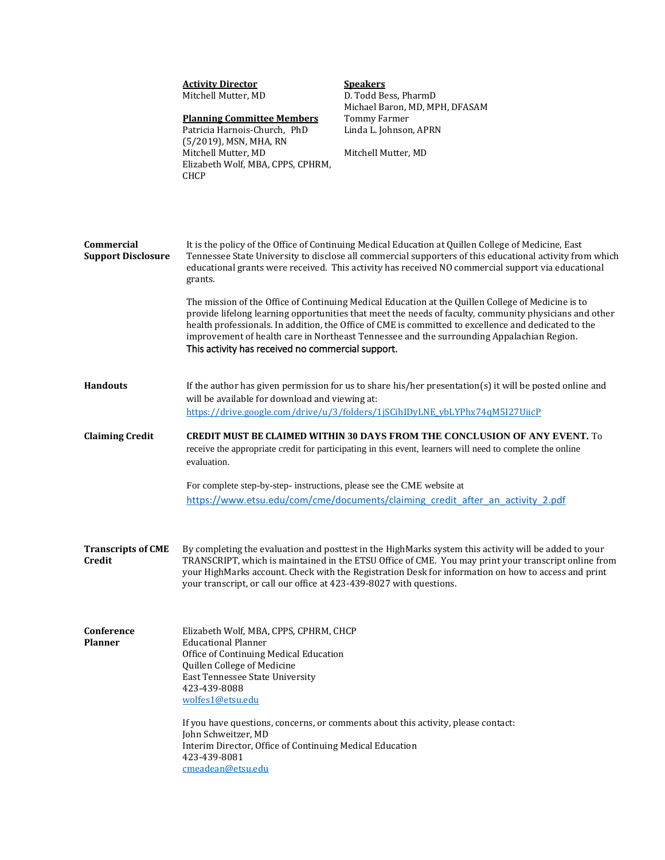|                                         | <b>Activity Director</b><br>Mitchell Mutter, MD<br><b>Planning Committee Members</b><br>Patricia Harnois-Church, PhD<br>(5/2019), MSN, MHA, RN<br>Mitchell Mutter, MD<br>Elizabeth Wolf, MBA, CPPS, CPHRM,<br><b>CHCP</b>                                                                                                                                                                                                                                                                                                                                                                                                                                                                                                                                                                                  | <b>Speakers</b><br>D. Todd Bess, PharmD<br>Michael Baron, MD, MPH, DFASAM<br><b>Tommy Farmer</b><br>Linda L. Johnson, APRN<br>Mitchell Mutter, MD                                                                                                                                                                    |  |
|-----------------------------------------|------------------------------------------------------------------------------------------------------------------------------------------------------------------------------------------------------------------------------------------------------------------------------------------------------------------------------------------------------------------------------------------------------------------------------------------------------------------------------------------------------------------------------------------------------------------------------------------------------------------------------------------------------------------------------------------------------------------------------------------------------------------------------------------------------------|----------------------------------------------------------------------------------------------------------------------------------------------------------------------------------------------------------------------------------------------------------------------------------------------------------------------|--|
| Commercial<br><b>Support Disclosure</b> | It is the policy of the Office of Continuing Medical Education at Quillen College of Medicine, East<br>Tennessee State University to disclose all commercial supporters of this educational activity from which<br>educational grants were received. This activity has received NO commercial support via educational<br>grants.<br>The mission of the Office of Continuing Medical Education at the Quillen College of Medicine is to<br>provide lifelong learning opportunities that meet the needs of faculty, community physicians and other<br>health professionals. In addition, the Office of CME is committed to excellence and dedicated to the<br>improvement of health care in Northeast Tennessee and the surrounding Appalachian Region.<br>This activity has received no commercial support. |                                                                                                                                                                                                                                                                                                                      |  |
| <b>Handouts</b>                         | If the author has given permission for us to share his/her presentation(s) it will be posted online and<br>will be available for download and viewing at:<br>https://drive.google.com/drive/u/3/folders/1jSCihIDyLNE ybLYPhx74qM5I27UiicP                                                                                                                                                                                                                                                                                                                                                                                                                                                                                                                                                                  |                                                                                                                                                                                                                                                                                                                      |  |
| <b>Claiming Credit</b>                  | <b>CREDIT MUST BE CLAIMED WITHIN 30 DAYS FROM THE CONCLUSION OF ANY EVENT.</b> To<br>receive the appropriate credit for participating in this event, learners will need to complete the online<br>evaluation.<br>For complete step-by-step- instructions, please see the CME website at<br>https://www.etsu.edu/com/cme/documents/claiming credit after an activity 2.pdf                                                                                                                                                                                                                                                                                                                                                                                                                                  |                                                                                                                                                                                                                                                                                                                      |  |
| <b>Transcripts of CME</b><br>Credit     | your transcript, or call our office at 423-439-8027 with questions.                                                                                                                                                                                                                                                                                                                                                                                                                                                                                                                                                                                                                                                                                                                                        | By completing the evaluation and posttest in the HighMarks system this activity will be added to your<br>TRANSCRIPT, which is maintained in the ETSU Office of CME. You may print your transcript online from<br>your HighMarks account. Check with the Registration Desk for information on how to access and print |  |
| Conference<br><b>Planner</b>            | Elizabeth Wolf, MBA, CPPS, CPHRM, CHCP<br><b>Educational Planner</b><br>Office of Continuing Medical Education<br>Quillen College of Medicine<br>East Tennessee State University<br>423-439-8088<br>wolfes1@etsu.edu<br>John Schweitzer, MD<br>Interim Director, Office of Continuing Medical Education<br>423-439-8081<br>cmeadean@etsu.edu                                                                                                                                                                                                                                                                                                                                                                                                                                                               | If you have questions, concerns, or comments about this activity, please contact:                                                                                                                                                                                                                                    |  |